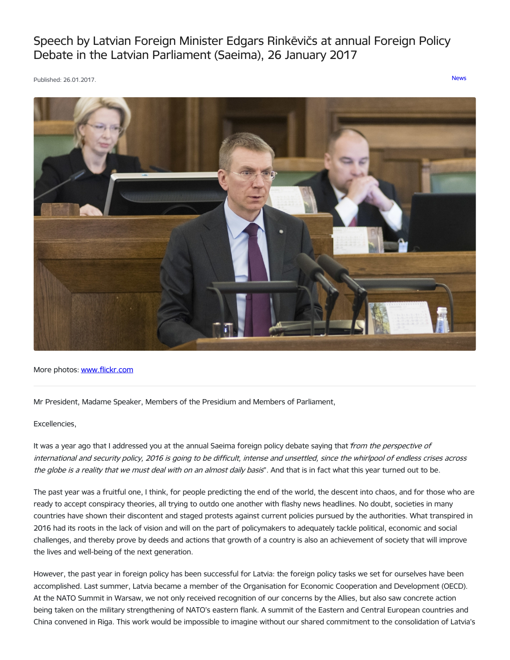Speech by Latvian Foreign Minister Edgars Rinkēvičs at annual Foreign Policy Debate in the Latvian Parliament (Saeima), 26 January 2017

Published: 26.01.2017. [News](https://www.mfa.gov.lv/en/articles?category%255B253%255D=253)



More photos: [www.flickr.com](https://www.flickr.com/photos/latvianmfa/with/32491107686)

Mr President, Madame Speaker, Members of the Presidium and Members of Parliament,

### Excellencies,

It was a year ago that I addressed you at the annual Saeima foreign policy debate saying that from the perspective of international and security policy, 2016 is going to be difficult, intense and unsettled, since the whirlpool of endless crises across the globe is a reality that we must deal with on an almost daily basis". And that is in fact what this year turned out to be.

The past year was a fruitful one, I think, for people predicting the end of the world, the descent into chaos, and for those who are ready to accept conspiracy theories, all trying to outdo one another with flashy news headlines. No doubt, societies in many countries have shown their discontent and staged protests against current policies pursued by the authorities. What transpired in 2016 had its roots in the lack of vision and will on the part of policymakers to adequately tackle political, economic and social challenges, and thereby prove by deeds and actions that growth of a country is also an achievement of society that will improve the lives and well-being of the next generation.

However, the past year in foreign policy has been successful for Latvia: the foreign policy tasks we set for ourselves have been accomplished. Last summer, Latvia became a member of the Organisation for Economic Cooperation and Development (OECD). At the NATO Summit in Warsaw, we not only received recognition of our concerns by the Allies, but also saw concrete action being taken on the military strengthening of NATO's eastern flank. A summit of the Eastern and Central European countries and China convened in Riga. This work would be impossible to imagine without our shared commitment to the consolidation of Latvia's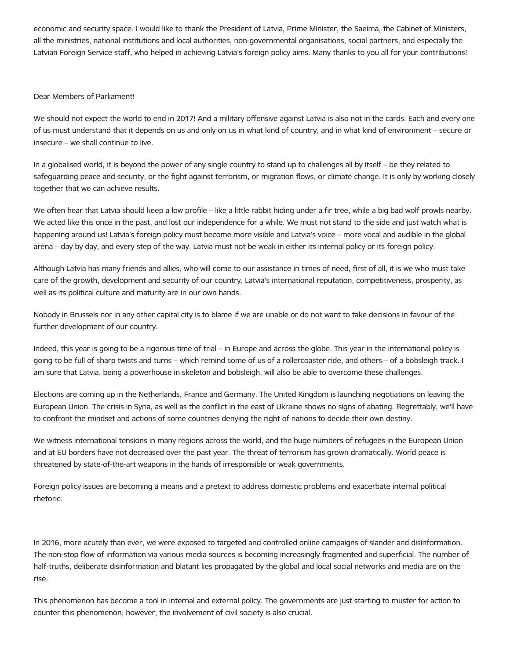economic and security space. I would like to thank the President of Latvia, Prime Minister, the Saeima, the Cabinet of Ministers, all the ministries, national institutions and local authorities, non-governmental organisations, social partners, and especially the Latvian Foreign Service staff, who helped in achieving Latvia's foreign policy aims. Many thanks to you all for your contributions!

## Dear Members of Parliament!

We should not expect the world to end in 2017! And a military offensive against Latvia is also not in the cards. Each and every one of us must understand that it depends on us and only on us in what kind of country, and in what kind of environment – secure or insecure – we shall continue to live.

In a globalised world, it is beyond the power of any single country to stand up to challenges all by itself – be they related to safeguarding peace and security, or the fight against terrorism, or migration flows, or climate change. It is only by working closely together that we can achieve results.

We often hear that Latvia should keep a low profile – like a little rabbit hiding under a fir tree, while a big bad wolf prowls nearby. We acted like this once in the past, and lost our independence for a while. We must not stand to the side and just watch what is happening around us! Latvia's foreign policy must become more visible and Latvia's voice – more vocal and audible in the global arena – day by day, and every step of the way. Latvia must not be weak in either its internal policy or its foreign policy.

Although Latvia has many friends and allies, who will come to our assistance in times of need, first of all, it is we who must take care of the growth, development and security of our country. Latvia's international reputation, competitiveness, prosperity, as well as its political culture and maturity are in our own hands.

Nobody in Brussels nor in any other capital city is to blame if we are unable or do not want to take decisions in favour of the further development of our country.

Indeed, this year is going to be a rigorous time of trial – in Europe and across the globe. This year in the international policy is going to be full of sharp twists and turns – which remind some of us of a rollercoaster ride, and others – of a bobsleigh track. I am sure that Latvia, being a powerhouse in skeleton and bobsleigh, will also be able to overcome these challenges.

Elections are coming up in the Netherlands, France and Germany. The United Kingdom is launching negotiations on leaving the European Union. The crisis in Syria, as well as the conflict in the east of Ukraine shows no signs of abating. Regrettably, we'll have to confront the mindset and actions of some countries denying the right of nations to decide their own destiny.

We witness international tensions in many regions across the world, and the huge numbers of refugees in the European Union and at EU borders have not decreased over the past year. The threat of terrorism has grown dramatically. World peace is threatened by state-of-the-art weapons in the hands of irresponsible or weak governments.

Foreign policy issues are becoming a means and a pretext to address domestic problems and exacerbate internal political rhetoric.

In 2016, more acutely than ever, we were exposed to targeted and controlled online campaigns of slander and disinformation. The non-stop flow of information via various media sources is becoming increasingly fragmented and superficial. The number of half-truths, deliberate disinformation and blatant lies propagated by the global and local social networks and media are on the rise.

This phenomenon has become a tool in internal and external policy. The governments are just starting to muster for action to counter this phenomenon; however, the involvement of civil society is also crucial.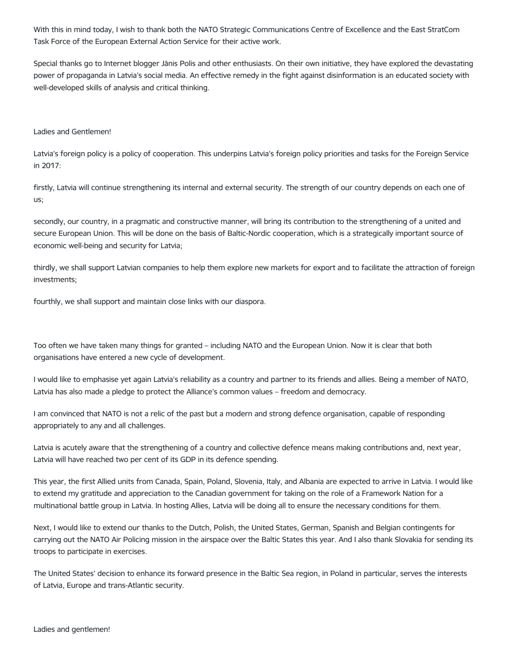With this in mind today, I wish to thank both the NATO Strategic Communications Centre of Excellence and the East StratCom Task Force of the European External Action Service for their active work.

Special thanks go to Internet blogger Jānis Polis and other enthusiasts. On their own initiative, they have explored the devastating power of propaganda in Latvia's social media. An effective remedy in the fight against disinformation is an educated society with well-developed skills of analysis and critical thinking.

## Ladies and Gentlemen!

Latvia's foreign policy is a policy of cooperation. This underpins Latvia's foreign policy priorities and tasks for the Foreign Service in 2017:

firstly, Latvia will continue strengthening its internal and external security. The strength of our country depends on each one of us;

secondly, our country, in a pragmatic and constructive manner, will bring its contribution to the strengthening of a united and secure European Union. This will be done on the basis of Baltic-Nordic cooperation, which is a strategically important source of economic well-being and security for Latvia;

thirdly, we shall support Latvian companies to help them explore new markets for export and to facilitate the attraction of foreign investments;

fourthly, we shall support and maintain close links with our diaspora.

Too often we have taken many things for granted – including NATO and the European Union. Now it is clear that both organisations have entered a new cycle of development.

I would like to emphasise yet again Latvia's reliability as a country and partner to its friends and allies. Being a member of NATO, Latvia has also made a pledge to protect the Alliance's common values – freedom and democracy.

I am convinced that NATO is not a relic of the past but a modern and strong defence organisation, capable of responding appropriately to any and all challenges.

Latvia is acutely aware that the strengthening of a country and collective defence means making contributions and, next year, Latvia will have reached two per cent of its GDP in its defence spending.

This year, the first Allied units from Canada, Spain, Poland, Slovenia, Italy, and Albania are expected to arrive in Latvia. I would like to extend my gratitude and appreciation to the Canadian government for taking on the role of a Framework Nation for a multinational battle group in Latvia. In hosting Allies, Latvia will be doing all to ensure the necessary conditions for them.

Next, I would like to extend our thanks to the Dutch, Polish, the United States, German, Spanish and Belgian contingents for carrying out the NATO Air Policing mission in the airspace over the Baltic States this year. And I also thank Slovakia for sending its troops to participate in exercises.

The United States' decision to enhance its forward presence in the Baltic Sea region, in Poland in particular, serves the interests of Latvia, Europe and trans-Atlantic security.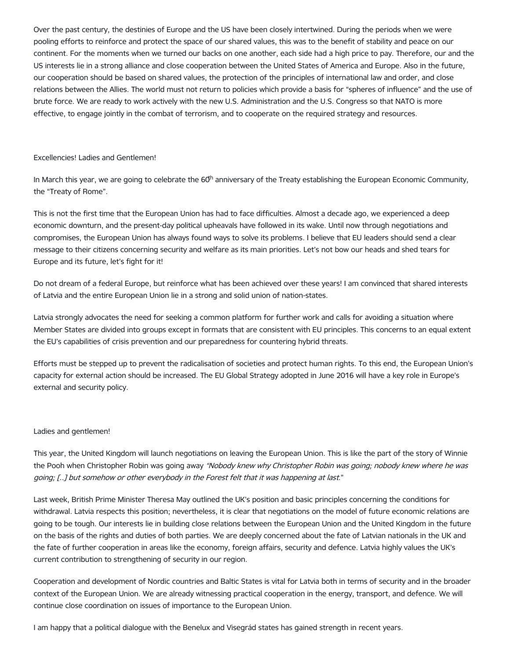Over the past century, the destinies of Europe and the US have been closely intertwined. During the periods when we were pooling efforts to reinforce and protect the space of our shared values, this was to the benefit of stability and peace on our continent. For the moments when we turned our backs on one another, each side had a high price to pay. Therefore, our and the US interests lie in a strong alliance and close cooperation between the United States of America and Europe. Also in the future, our cooperation should be based on shared values, the protection of the principles of international law and order, and close relations between the Allies. The world must not return to policies which provide a basis for "spheres of influence" and the use of brute force. We are ready to work actively with the new U.S. Administration and the U.S. Congress so that NATO is more effective, to engage jointly in the combat of terrorism, and to cooperate on the required strategy and resources.

## Excellencies! Ladies and Gentlemen!

In March this year, we are going to celebrate the 60<sup>th</sup> anniversary of the Treaty establishing the European Economic Community, the "Treaty of Rome".

This is not the first time that the European Union has had to face difficulties. Almost a decade ago, we experienced a deep economic downturn, and the present-day political upheavals have followed in its wake. Until now through negotiations and compromises, the European Union has always found ways to solve its problems. I believe that EU leaders should send a clear message to their citizens concerning security and welfare as its main priorities. Let's not bow our heads and shed tears for Europe and its future, let's fight for it!

Do not dream of a federal Europe, but reinforce what has been achieved over these years! I am convinced that shared interests of Latvia and the entire European Union lie in a strong and solid union of nation-states.

Latvia strongly advocates the need for seeking a common platform for further work and calls for avoiding a situation where Member States are divided into groups except in formats that are consistent with EU principles. This concerns to an equal extent the EU's capabilities of crisis prevention and our preparedness for countering hybrid threats.

Efforts must be stepped up to prevent the radicalisation of societies and protect human rights. To this end, the European Union's capacity for external action should be increased. The EU Global Strategy adopted in June 2016 will have a key role in Europe's external and security policy.

# Ladies and gentlemen!

This year, the United Kingdom will launch negotiations on leaving the European Union. This is like the part of the story of Winnie the Pooh when Christopher Robin was going away "Nobody knew why Christopher Robin was going; nobody knew where he was going; [..] but somehow or other everybody in the Forest felt that it was happening at last."

Last week, British Prime Minister Theresa May outlined the UK's position and basic principles concerning the conditions for withdrawal. Latvia respects this position; nevertheless, it is clear that negotiations on the model of future economic relations are going to be tough. Our interests lie in building close relations between the European Union and the United Kingdom in the future on the basis of the rights and duties of both parties. We are deeply concerned about the fate of Latvian nationals in the UK and the fate of further cooperation in areas like the economy, foreign affairs, security and defence. Latvia highly values the UK's current contribution to strengthening of security in our region.

Cooperation and development of Nordic countries and Baltic States is vital for Latvia both in terms of security and in the broader context of the European Union. We are already witnessing practical cooperation in the energy, transport, and defence. We will continue close coordination on issues of importance to the European Union.

I am happy that a political dialogue with the Benelux and Visegrád states has gained strength in recent years.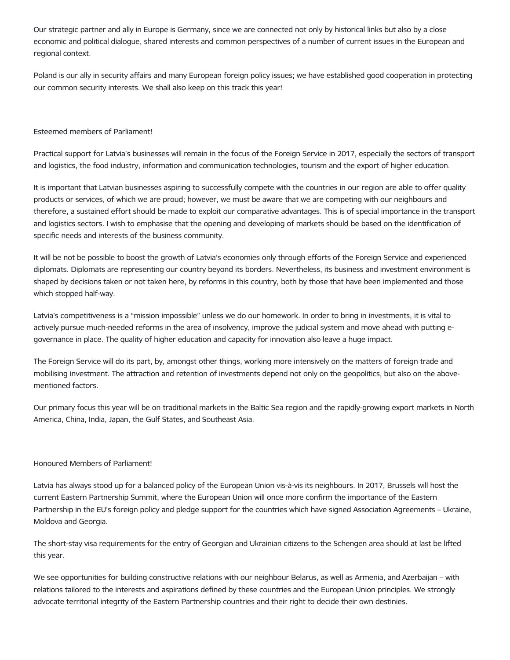Our strategic partner and ally in Europe is Germany, since we are connected not only by historical links but also by a close economic and political dialogue, shared interests and common perspectives of a number of current issues in the European and regional context.

Poland is our ally in security affairs and many European foreign policy issues; we have established good cooperation in protecting our common security interests. We shall also keep on this track this year!

## Esteemed members of Parliament!

Practical support for Latvia's businesses will remain in the focus of the Foreign Service in 2017, especially the sectors of transport and logistics, the food industry, information and communication technologies, tourism and the export of higher education.

It is important that Latvian businesses aspiring to successfully compete with the countries in our region are able to offer quality products or services, of which we are proud; however, we must be aware that we are competing with our neighbours and therefore, a sustained effort should be made to exploit our comparative advantages. This is of special importance in the transport and logistics sectors. I wish to emphasise that the opening and developing of markets should be based on the identification of specific needs and interests of the business community.

It will be not be possible to boost the growth of Latvia's economies only through efforts of the Foreign Service and experienced diplomats. Diplomats are representing our country beyond its borders. Nevertheless, its business and investment environment is shaped by decisions taken or not taken here, by reforms in this country, both by those that have been implemented and those which stopped half-way.

Latvia's competitiveness is a "mission impossible" unless we do our homework. In order to bring in investments, it is vital to actively pursue much-needed reforms in the area of insolvency, improve the judicial system and move ahead with putting egovernance in place. The quality of higher education and capacity for innovation also leave a huge impact.

The Foreign Service will do its part, by, amongst other things, working more intensively on the matters of foreign trade and mobilising investment. The attraction and retention of investments depend not only on the geopolitics, but also on the abovementioned factors.

Our primary focus this year will be on traditional markets in the Baltic Sea region and the rapidly-growing export markets in North America, China, India, Japan, the Gulf States, and Southeast Asia.

# Honoured Members of Parliament!

Latvia has always stood up for a balanced policy of the European Union vis-à-vis its neighbours. In 2017, Brussels will host the current Eastern Partnership Summit, where the European Union will once more confirm the importance of the Eastern Partnership in the EU's foreign policy and pledge support for the countries which have signed Association Agreements – Ukraine, Moldova and Georgia.

The short-stay visa requirements for the entry of Georgian and Ukrainian citizens to the Schengen area should at last be lifted this year.

We see opportunities for building constructive relations with our neighbour Belarus, as well as Armenia, and Azerbaijan – with relations tailored to the interests and aspirations defined by these countries and the European Union principles. We strongly advocate territorial integrity of the Eastern Partnership countries and their right to decide their own destinies.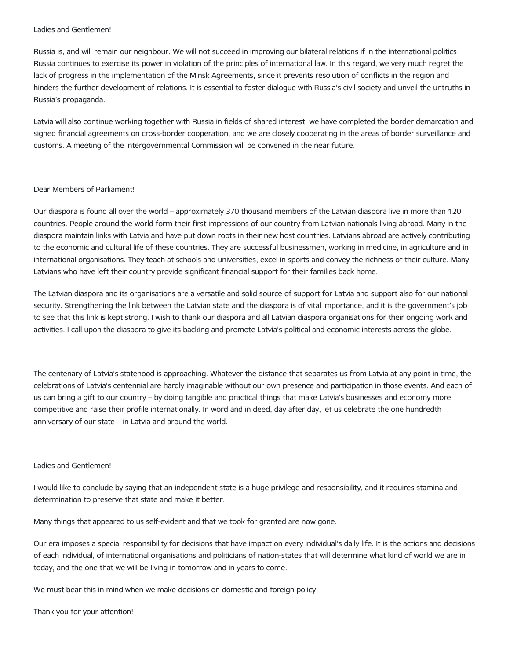### Ladies and Gentlemen!

Russia is, and will remain our neighbour. We will not succeed in improving our bilateral relations if in the international politics Russia continues to exercise its power in violation of the principles of international law. In this regard, we very much regret the lack of progress in the implementation of the Minsk Agreements, since it prevents resolution of conflicts in the region and hinders the further development of relations. It is essential to foster dialogue with Russia's civil society and unveil the untruths in Russia's propaganda.

Latvia will also continue working together with Russia in fields of shared interest: we have completed the border demarcation and signed financial agreements on cross-border cooperation, and we are closely cooperating in the areas of border surveillance and customs. A meeting of the Intergovernmental Commission will be convened in the near future.

### Dear Members of Parliament!

Our diaspora is found all over the world – approximately 370 thousand members of the Latvian diaspora live in more than 120 countries. People around the world form their first impressions of our country from Latvian nationals living abroad. Many in the diaspora maintain links with Latvia and have put down roots in their new host countries. Latvians abroad are actively contributing to the economic and cultural life of these countries. They are successful businessmen, working in medicine, in agriculture and in international organisations. They teach at schools and universities, excel in sports and convey the richness of their culture. Many Latvians who have left their country provide significant financial support for their families back home.

The Latvian diaspora and its organisations are a versatile and solid source of support for Latvia and support also for our national security. Strengthening the link between the Latvian state and the diaspora is of vital importance, and it is the government's job to see that this link is kept strong. I wish to thank our diaspora and all Latvian diaspora organisations for their ongoing work and activities. I call upon the diaspora to give its backing and promote Latvia's political and economic interests across the globe.

The centenary of Latvia's statehood is approaching. Whatever the distance that separates us from Latvia at any point in time, the celebrations of Latvia's centennial are hardly imaginable without our own presence and participation in those events. And each of us can bring a gift to our country – by doing tangible and practical things that make Latvia's businesses and economy more competitive and raise their profile internationally. In word and in deed, day after day, let us celebrate the one hundredth anniversary of our state – in Latvia and around the world.

### Ladies and Gentlemen!

I would like to conclude by saying that an independent state is a huge privilege and responsibility, and it requires stamina and determination to preserve that state and make it better.

Many things that appeared to us self-evident and that we took for granted are now gone.

Our era imposes a special responsibility for decisions that have impact on every individual's daily life. It is the actions and decisions of each individual, of international organisations and politicians of nation-states that will determine what kind of world we are in today, and the one that we will be living in tomorrow and in years to come.

We must bear this in mind when we make decisions on domestic and foreign policy.

Thank you for your attention!